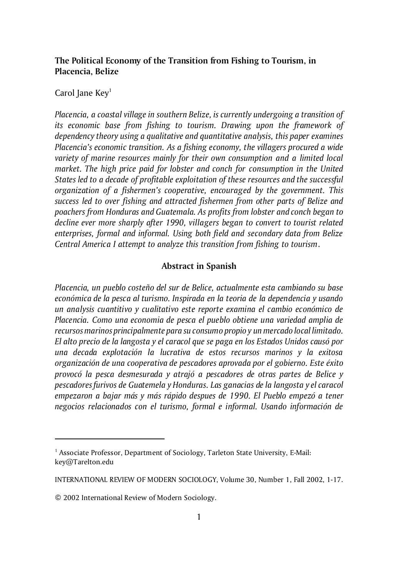# **The Political Economy of the Transition from Fishing to Tourism, in Placencia, Belize**

# Carol Jane  $Key<sup>1</sup>$

*Placencia, a coastal village in southern Belize, is currently undergoing a transition of its economic base from fishing to tourism. Drawing upon the framework of dependency theory using a qualitative and quantitative analysis, this paper examines Placencia's economic transition. As a fishing economy, the villagers procured a wide variety of marine resources mainly for their own consumption and a limited local market. The high price paid for lobster and conch for consumption in the United States led to a decade of profitable exploitation of these resources and the successful organization of a fishermen's cooperative, encouraged by the government. This success led to over fishing and attracted fishermen from other parts of Belize and poachers from Honduras and Guatemala. As profits from lobster and conch began to decline ever more sharply after 1990, villagers began to convert to tourist related enterprises, formal and informal. Using both field and secondary data from Belize Central America I attempt to analyze this transition from fishing to tourism*.

## **Abstract in Spanish**

*Placencia, un pueblo costeño del sur de Belice, actualmente esta cambiando su base económica de la pesca al turismo. Inspirada en la teoria de la dependencia y usando un analysis cuantitivo y cualitativo este reporte examina el cambio económico de Placencia. Como una economia de pesca el pueblo obtiene una variedad amplia de recursos marinos principalmente para su consumo propio y un mercado local limitado. El alto precio de la langosta y el caracol que se paga en los Estados Unidos causó por una decada explotación la lucrativa de estos recursos marinos y la exitosa organización de una cooperativa de pescadores aprovada por el gobierno. Este éxito provocó la pesca desmesurada y atrajó a pescadores de otras partes de Belice y pescadores furivos de Guatemela y Honduras. Las ganacias de la langosta y el caracol empezaron a bajar más y más rápido despues de 1990. El Pueblo empezó a tener negocios relacionados con el turismo, formal e informal. Usando información de*

<sup>&</sup>lt;sup>1</sup> Associate Professor, Department of Sociology, Tarleton State University, E-Mail: key@Tarelton.edu

INTERNATIONAL REVIEW OF MODERN SOCIOLOGY, Volume 30, Number 1, Fall 2002, 1-17.

<sup>© 2002</sup> International Review of Modern Sociology.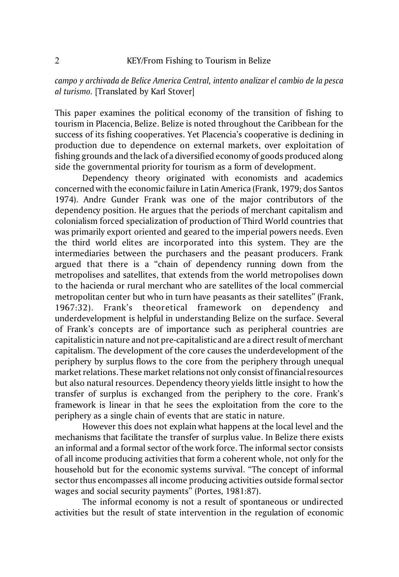*campo y archivada de Belice America Central, intento analizar el cambio de la pesca al turismo.* [Translated by Karl Stover]

This paper examines the political economy of the transition of fishing to tourism in Placencia, Belize. Belize is noted throughout the Caribbean for the success of its fishing cooperatives. Yet Placencia's cooperative is declining in production due to dependence on external markets, over exploitation of fishing grounds and the lack of a diversified economy of goods produced along side the governmental priority for tourism as a form of development.

Dependency theory originated with economists and academics concerned with the economic failure in Latin America (Frank, 1979; dos Santos 1974). Andre Gunder Frank was one of the major contributors of the dependency position. He argues that the periods of merchant capitalism and colonialism forced specialization of production of Third World countries that was primarily export oriented and geared to the imperial powers needs. Even the third world elites are incorporated into this system. They are the intermediaries between the purchasers and the peasant producers. Frank argued that there is a "chain of dependency running down from the metropolises and satellites, that extends from the world metropolises down to the hacienda or rural merchant who are satellites of the local commercial metropolitan center but who in turn have peasants as their satellites" (Frank, 1967:32). Frank's theoretical framework on dependency and underdevelopment is helpful in understanding Belize on the surface. Several of Frank's concepts are of importance such as peripheral countries are capitalistic in nature and not pre-capitalistic and are a direct result of merchant capitalism. The development of the core causes the underdevelopment of the periphery by surplus flows to the core from the periphery through unequal market relations. These market relations not only consist of financial resources but also natural resources. Dependency theory yields little insight to how the transfer of surplus is exchanged from the periphery to the core. Frank's framework is linear in that he sees the exploitation from the core to the periphery as a single chain of events that are static in nature.

However this does not explain what happens at the local level and the mechanisms that facilitate the transfer of surplus value. In Belize there exists an informal and a formal sector of the work force. The informal sector consists of all income producing activities that form a coherent whole, not only for the household but for the economic systems survival. "The concept of informal sector thus encompasses all income producing activities outside formal sector wages and social security payments" (Portes, 1981:87).

The informal economy is not a result of spontaneous or undirected activities but the result of state intervention in the regulation of economic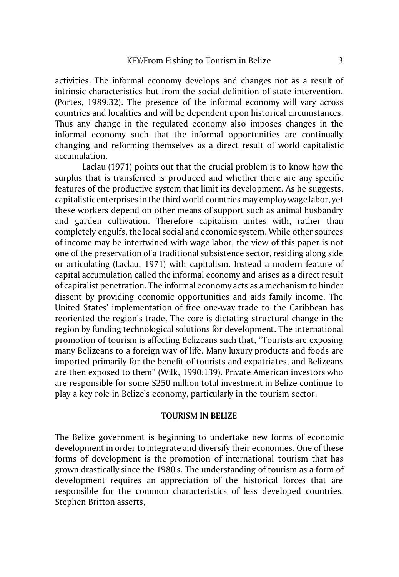activities. The informal economy develops and changes not as a result of intrinsic characteristics but from the social definition of state intervention. (Portes, 1989:32). The presence of the informal economy will vary across countries and localities and will be dependent upon historical circumstances. Thus any change in the regulated economy also imposes changes in the informal economy such that the informal opportunities are continually changing and reforming themselves as a direct result of world capitalistic accumulation.

Laclau (1971) points out that the crucial problem is to know how the surplus that is transferred is produced and whether there are any specific features of the productive system that limit its development. As he suggests, capitalistic enterprises in the third world countries may employ wage labor, yet these workers depend on other means of support such as animal husbandry and garden cultivation. Therefore capitalism unites with, rather than completely engulfs, the local social and economic system. While other sources of income may be intertwined with wage labor, the view of this paper is not one of the preservation of a traditional subsistence sector, residing along side or articulating (Laclau, 1971) with capitalism. Instead a modern feature of capital accumulation called the informal economy and arises as a direct result of capitalist penetration. The informal economy acts as a mechanism to hinder dissent by providing economic opportunities and aids family income. The United States' implementation of free one-way trade to the Caribbean has reoriented the region's trade. The core is dictating structural change in the region by funding technological solutions for development. The international promotion of tourism is affecting Belizeans such that, "Tourists are exposing many Belizeans to a foreign way of life. Many luxury products and foods are imported primarily for the benefit of tourists and expatriates, and Belizeans are then exposed to them" (Wilk, 1990:139). Private American investors who are responsible for some \$250 million total investment in Belize continue to play a key role in Belize's economy, particularly in the tourism sector.

## **TOURISM IN BELIZE**

The Belize government is beginning to undertake new forms of economic development in order to integrate and diversify their economies. One of these forms of development is the promotion of international tourism that has grown drastically since the 1980's. The understanding of tourism as a form of development requires an appreciation of the historical forces that are responsible for the common characteristics of less developed countries. Stephen Britton asserts,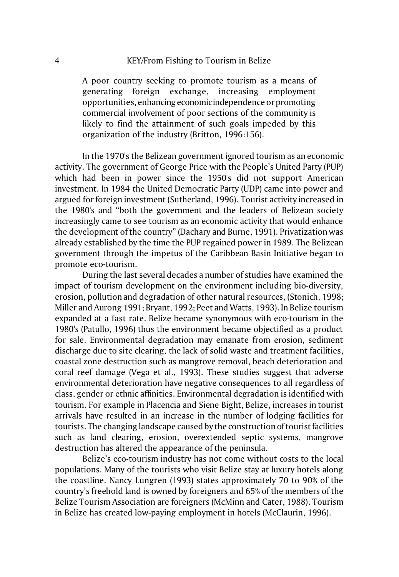A poor country seeking to promote tourism as a means of generating foreign exchange, increasing employment opportunities, enhancingeconomicindependence or promoting commercial involvement of poor sections of the community is likely to find the attainment of such goals impeded by this organization of the industry (Britton, 1996:156).

In the 1970's the Belizean government ignored tourism as an economic activity. The government of George Price with the People's United Party (PUP) which had been in power since the 1950's did not support American investment. In 1984 the United Democratic Party (UDP) came into power and argued for foreign investment (Sutherland, 1996). Tourist activity increased in the 1980's and "both the government and the leaders of Belizean society increasingly came to see tourism as an economic activity that would enhance the development of the country" (Dachary and Burne, 1991). Privatization was already established by the time the PUP regained power in 1989. The Belizean government through the impetus of the Caribbean Basin Initiative began to promote eco-tourism.

During the last several decades a number of studies have examined the impact of tourism development on the environment including bio-diversity, erosion, pollution and degradation of other natural resources, (Stonich, 1998; Miller and Aurong 1991; Bryant, 1992; Peet and Watts, 1993). In Belize tourism expanded at a fast rate. Belize became synonymous with eco-tourism in the 1980's (Patullo, 1996) thus the environment became objectified as a product for sale. Environmental degradation may emanate from erosion, sediment discharge due to site clearing, the lack of solid waste and treatment facilities, coastal zone destruction such as mangrove removal, beach deterioration and coral reef damage (Vega et al., 1993). These studies suggest that adverse environmental deterioration have negative consequences to all regardless of class, gender or ethnic affinities. Environmental degradation is identified with tourism. For example in Placencia and Siene Bight, Belize, increases in tourist arrivals have resulted in an increase in the number of lodging facilities for tourists. The changing landscape caused by the construction of tourist facilities such as land clearing, erosion, overextended septic systems, mangrove destruction has altered the appearance of the peninsula.

Belize's eco-tourism industry has not come without costs to the local populations. Many of the tourists who visit Belize stay at luxury hotels along the coastline. Nancy Lungren (1993) states approximately 70 to 90% of the country's freehold land is owned by foreigners and 65% of the members of the Belize Tourism Association are foreigners (McMinn and Cater, 1988). Tourism in Belize has created low-paying employment in hotels (McClaurin, 1996).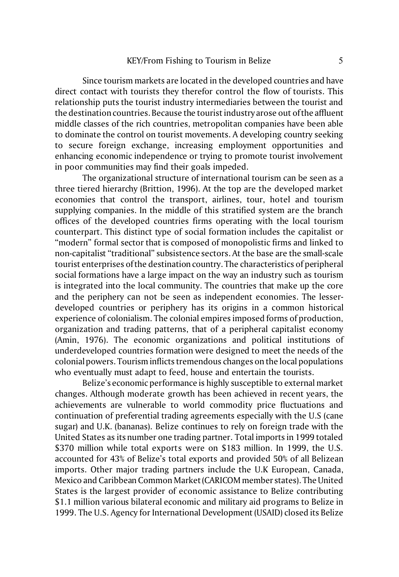Since tourism markets are located in the developed countries and have direct contact with tourists they therefor control the flow of tourists. This relationship puts the tourist industry intermediaries between the tourist and the destination countries. Because the tourist industry arose out of the affluent middle classes of the rich countries, metropolitan companies have been able to dominate the control on tourist movements. A developing country seeking to secure foreign exchange, increasing employment opportunities and enhancing economic independence or trying to promote tourist involvement in poor communities may find their goals impeded.

The organizational structure of international tourism can be seen as a three tiered hierarchy (Brittion, 1996). At the top are the developed market economies that control the transport, airlines, tour, hotel and tourism supplying companies. In the middle of this stratified system are the branch offices of the developed countries firms operating with the local tourism counterpart. This distinct type of social formation includes the capitalist or "modern" formal sector that is composed of monopolistic firms and linked to non-capitalist "traditional" subsistence sectors. At the base are the small-scale tourist enterprises of the destination country. The characteristics of peripheral social formations have a large impact on the way an industry such as tourism is integrated into the local community. The countries that make up the core and the periphery can not be seen as independent economies. The lesserdeveloped countries or periphery has its origins in a common historical experience of colonialism. The colonial empires imposed forms of production, organization and trading patterns, that of a peripheral capitalist economy (Amin, 1976). The economic organizations and political institutions of underdeveloped countries formation were designed to meet the needs of the colonial powers. Tourism inflicts tremendous changes on the local populations who eventually must adapt to feed, house and entertain the tourists.

Belize's economic performance is highly susceptible to external market changes. Although moderate growth has been achieved in recent years, the achievements are vulnerable to world commodity price fluctuations and continuation of preferential trading agreements especially with the U.S (cane sugar) and U.K. (bananas). Belize continues to rely on foreign trade with the United States as its number one trading partner. Total imports in 1999 totaled \$370 million while total exports were on \$183 million. In 1999, the U.S. accounted for 43% of Belize's total exports and provided 50% of all Belizean imports. Other major trading partners include the U.K European, Canada, Mexico and Caribbean Common Market (CARICOM member states). The United States is the largest provider of economic assistance to Belize contributing \$1.1 million various bilateral economic and military aid programs to Belize in 1999. The U.S. Agency for International Development (USAID) closed its Belize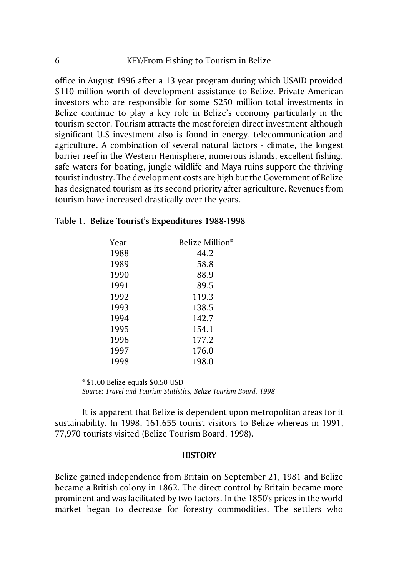office in August 1996 after a 13 year program during which USAID provided \$110 million worth of development assistance to Belize. Private American investors who are responsible for some \$250 million total investments in Belize continue to play a key role in Belize's economy particularly in the tourism sector. Tourism attracts the most foreign direct investment although significant U.S investment also is found in energy, telecommunication and agriculture. A combination of several natural factors - climate, the longest barrier reef in the Western Hemisphere, numerous islands, excellent fishing, safe waters for boating, jungle wildlife and Maya ruins support the thriving tourist industry. The development costs are high but the Government of Belize has designated tourism as its second priority after agriculture. Revenues from tourism have increased drastically over the years.

| Year | Belize Million* |
|------|-----------------|
| 1988 | 44.2            |
| 1989 | 58.8            |
| 1990 | 88.9            |
| 1991 | 89.5            |
| 1992 | 119.3           |
| 1993 | 138.5           |
| 1994 | 142.7           |
| 1995 | 154.1           |
| 1996 | 177.2           |
| 1997 | 176.0           |
| 1998 | 198.0           |

## **Table 1. Belize Tourist's Expenditures 1988-1998**

\* \$1.00 Belize equals \$0.50 USD

*Source: Travel and Tourism Statistics, Belize Tourism Board, 1998* 

It is apparent that Belize is dependent upon metropolitan areas for it sustainability. In 1998, 161,655 tourist visitors to Belize whereas in 1991, 77,970 tourists visited (Belize Tourism Board, 1998).

#### **HISTORY**

Belize gained independence from Britain on September 21, 1981 and Belize became a British colony in 1862. The direct control by Britain became more prominent and was facilitated by two factors. In the 1850's prices in the world market began to decrease for forestry commodities. The settlers who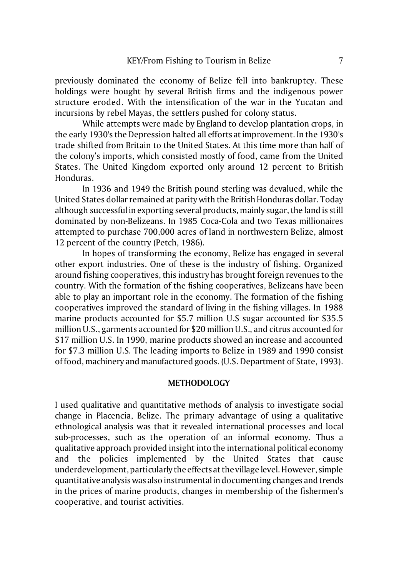previously dominated the economy of Belize fell into bankruptcy. These holdings were bought by several British firms and the indigenous power structure eroded. With the intensification of the war in the Yucatan and incursions by rebel Mayas, the settlers pushed for colony status.

While attempts were made by England to develop plantation crops, in the early 1930's the Depression halted all efforts at improvement. In the 1930's trade shifted from Britain to the United States. At this time more than half of the colony's imports, which consisted mostly of food, came from the United States. The United Kingdom exported only around 12 percent to British Honduras.

In 1936 and 1949 the British pound sterling was devalued, while the United States dollar remained at parity with the British Honduras dollar. Today although successful in exporting several products, mainly sugar, the land is still dominated by non-Belizeans. In 1985 Coca-Cola and two Texas millionaires attempted to purchase 700,000 acres of land in northwestern Belize, almost 12 percent of the country (Petch, 1986).

In hopes of transforming the economy, Belize has engaged in several other export industries. One of these is the industry of fishing. Organized around fishing cooperatives, this industry has brought foreign revenues to the country. With the formation of the fishing cooperatives, Belizeans have been able to play an important role in the economy. The formation of the fishing cooperatives improved the standard of living in the fishing villages. In 1988 marine products accounted for \$5.7 million U.S sugar accounted for \$35.5 million U.S., garments accounted for \$20 million U.S., and citrus accounted for \$17 million U.S. In 1990, marine products showed an increase and accounted for \$7.3 million U.S. The leading imports to Belize in 1989 and 1990 consist of food, machinery and manufactured goods. (U.S. Department of State, 1993).

#### **METHODOLOGY**

I used qualitative and quantitative methods of analysis to investigate social change in Placencia, Belize. The primary advantage of using a qualitative ethnological analysis was that it revealed international processes and local sub-processes, such as the operation of an informal economy. Thus a qualitative approach provided insight into the international political economy and the policies implemented by the United States that cause underdevelopment, particularly the effects at the village level. However, simple quantitative analysis was also instrumental in documenting changes and trends in the prices of marine products, changes in membership of the fishermen's cooperative, and tourist activities.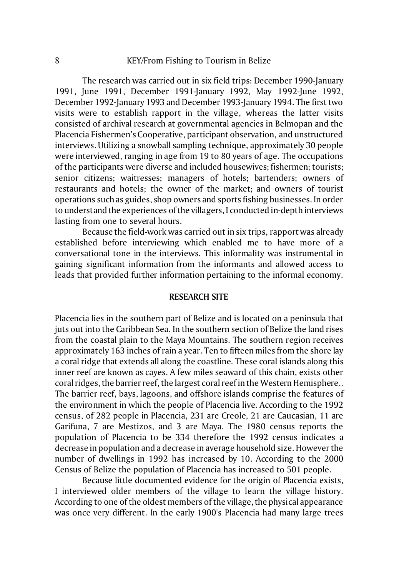The research was carried out in six field trips: December 1990-January 1991, June 1991, December 1991-January 1992, May 1992-June 1992, December 1992-January 1993 and December 1993-January 1994. The first two visits were to establish rapport in the village, whereas the latter visits consisted of archival research at governmental agencies in Belmopan and the Placencia Fishermen's Cooperative, participant observation, and unstructured interviews. Utilizing a snowball sampling technique, approximately 30 people were interviewed, ranging in age from 19 to 80 years of age. The occupations of the participants were diverse and included housewives; fishermen; tourists; senior citizens; waitresses; managers of hotels; bartenders; owners of restaurants and hotels; the owner of the market; and owners of tourist operations such as guides, shop owners and sports fishing businesses. In order to understand the experiences of the villagers, I conducted in-depth interviews lasting from one to several hours.

Because the field-work was carried out in six trips, rapport was already established before interviewing which enabled me to have more of a conversational tone in the interviews. This informality was instrumental in gaining significant information from the informants and allowed access to leads that provided further information pertaining to the informal economy.

## **RESEARCH SITE**

Placencia lies in the southern part of Belize and is located on a peninsula that juts out into the Caribbean Sea. In the southern section of Belize the land rises from the coastal plain to the Maya Mountains. The southern region receives approximately 163 inches of rain a year. Ten to fifteen miles from the shore lay a coral ridge that extends all along the coastline. These coral islands along this inner reef are known as cayes. A few miles seaward of this chain, exists other coral ridges, the barrier reef, the largest coral reef in the Western Hemisphere.. The barrier reef, bays, lagoons, and offshore islands comprise the features of the environment in which the people of Placencia live. According to the 1992 census, of 282 people in Placencia, 231 are Creole, 21 are Caucasian, 11 are Garifuna, 7 are Mestizos, and 3 are Maya. The 1980 census reports the population of Placencia to be 334 therefore the 1992 census indicates a decrease in population and a decrease in average household size. However the number of dwellings in 1992 has increased by 10. According to the 2000 Census of Belize the population of Placencia has increased to 501 people.

Because little documented evidence for the origin of Placencia exists, I interviewed older members of the village to learn the village history. According to one of the oldest members of the village, the physical appearance was once very different. In the early 1900's Placencia had many large trees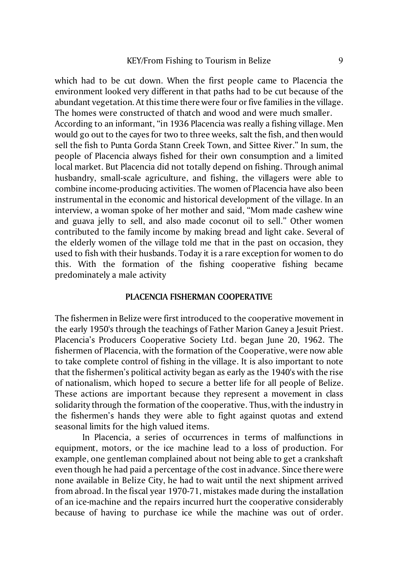which had to be cut down. When the first people came to Placencia the environment looked very different in that paths had to be cut because of the abundant vegetation. At this time there were four or five families in the village. The homes were constructed of thatch and wood and were much smaller. According to an informant, "in 1936 Placencia was really a fishing village. Men would go out to the cayes for two to three weeks, salt the fish, and then would sell the fish to Punta Gorda Stann Creek Town, and Sittee River." In sum, the people of Placencia always fished for their own consumption and a limited local market. But Placencia did not totally depend on fishing. Through animal husbandry, small-scale agriculture, and fishing, the villagers were able to combine income-producing activities. The women of Placencia have also been instrumental in the economic and historical development of the village. In an interview, a woman spoke of her mother and said, "Mom made cashew wine and guava jelly to sell, and also made coconut oil to sell." Other women contributed to the family income by making bread and light cake. Several of the elderly women of the village told me that in the past on occasion, they used to fish with their husbands. Today it is a rare exception for women to do this. With the formation of the fishing cooperative fishing became predominately a male activity

## **PLACENCIA FISHERMAN COOPERATIVE**

The fishermen in Belize were first introduced to the cooperative movement in the early 1950's through the teachings of Father Marion Ganey a Jesuit Priest. Placencia's Producers Cooperative Society Ltd. began June 20, 1962. The fishermen of Placencia, with the formation of the Cooperative, were now able to take complete control of fishing in the village. It is also important to note that the fishermen's political activity began as early as the 1940's with the rise of nationalism, which hoped to secure a better life for all people of Belize. These actions are important because they represent a movement in class solidarity through the formation of the cooperative. Thus, with the industry in the fishermen's hands they were able to fight against quotas and extend seasonal limits for the high valued items.

In Placencia, a series of occurrences in terms of malfunctions in equipment, motors, or the ice machine lead to a loss of production. For example, one gentleman complained about not being able to get a crankshaft even though he had paid a percentage of the cost in advance. Since there were none available in Belize City, he had to wait until the next shipment arrived from abroad. In the fiscal year 1970-71, mistakes made during the installation of an ice-machine and the repairs incurred hurt the cooperative considerably because of having to purchase ice while the machine was out of order.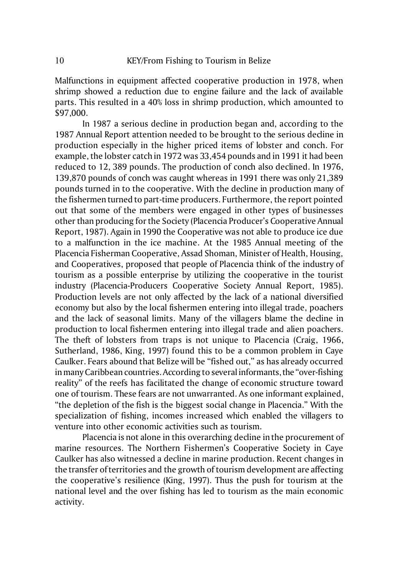Malfunctions in equipment affected cooperative production in 1978, when shrimp showed a reduction due to engine failure and the lack of available parts. This resulted in a 40% loss in shrimp production, which amounted to \$97,000.

In 1987 a serious decline in production began and, according to the 1987 Annual Report attention needed to be brought to the serious decline in production especially in the higher priced items of lobster and conch. For example, the lobster catch in 1972 was 33,454 pounds and in 1991 it had been reduced to 12, 389 pounds. The production of conch also declined. In 1976, 139,870 pounds of conch was caught whereas in 1991 there was only 21,389 pounds turned in to the cooperative. With the decline in production many of the fishermen turned to part-time producers. Furthermore, the report pointed out that some of the members were engaged in other types of businesses other than producing for the Society (Placencia Producer's Cooperative Annual Report, 1987). Again in 1990 the Cooperative was not able to produce ice due to a malfunction in the ice machine. At the 1985 Annual meeting of the Placencia Fisherman Cooperative, Assad Shoman, Minister of Health, Housing, and Cooperatives, proposed that people of Placencia think of the industry of tourism as a possible enterprise by utilizing the cooperative in the tourist industry (Placencia-Producers Cooperative Society Annual Report, 1985). Production levels are not only affected by the lack of a national diversified economy but also by the local fishermen entering into illegal trade, poachers and the lack of seasonal limits. Many of the villagers blame the decline in production to local fishermen entering into illegal trade and alien poachers. The theft of lobsters from traps is not unique to Placencia (Craig, 1966, Sutherland, 1986, King, 1997) found this to be a common problem in Caye Caulker. Fears abound that Belize will be "fished out," as has already occurred in many Caribbean countries. According to several informants, the "over-fishing" reality" of the reefs has facilitated the change of economic structure toward one of tourism. These fears are not unwarranted. As one informant explained, "the depletion of the fish is the biggest social change in Placencia." With the specialization of fishing, incomes increased which enabled the villagers to venture into other economic activities such as tourism.

Placencia is not alone in this overarching decline in the procurement of marine resources. The Northern Fishermen's Cooperative Society in Caye Caulker has also witnessed a decline in marine production. Recent changes in the transfer of territories and the growth of tourism development are affecting the cooperative's resilience (King, 1997). Thus the push for tourism at the national level and the over fishing has led to tourism as the main economic activity.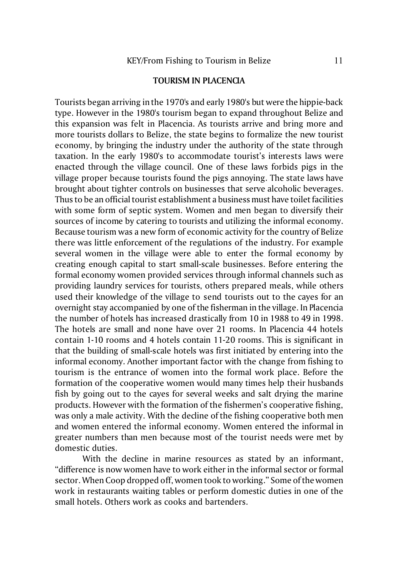#### **TOURISM IN PLACENCIA**

Tourists began arriving in the 1970's and early 1980's but were the hippie-back type. However in the 1980's tourism began to expand throughout Belize and this expansion was felt in Placencia. As tourists arrive and bring more and more tourists dollars to Belize, the state begins to formalize the new tourist economy, by bringing the industry under the authority of the state through taxation. In the early 1980's to accommodate tourist's interests laws were enacted through the village council. One of these laws forbids pigs in the village proper because tourists found the pigs annoying. The state laws have brought about tighter controls on businesses that serve alcoholic beverages. Thus to be an official tourist establishment a business must have toilet facilities with some form of septic system. Women and men began to diversify their sources of income by catering to tourists and utilizing the informal economy. Because tourism was a new form of economic activity for the country of Belize there was little enforcement of the regulations of the industry. For example several women in the village were able to enter the formal economy by creating enough capital to start small-scale businesses. Before entering the formal economy women provided services through informal channels such as providing laundry services for tourists, others prepared meals, while others used their knowledge of the village to send tourists out to the cayes for an overnight stay accompanied by one of the fisherman in the village. In Placencia the number of hotels has increased drastically from 10 in 1988 to 49 in 1998. The hotels are small and none have over 21 rooms. In Placencia 44 hotels contain 1-10 rooms and 4 hotels contain 11-20 rooms. This is significant in that the building of small-scale hotels was first initiated by entering into the informal economy. Another important factor with the change from fishing to tourism is the entrance of women into the formal work place. Before the formation of the cooperative women would many times help their husbands fish by going out to the cayes for several weeks and salt drying the marine products. However with the formation of the fishermen's cooperative fishing, was only a male activity. With the decline of the fishing cooperative both men and women entered the informal economy. Women entered the informal in greater numbers than men because most of the tourist needs were met by domestic duties.

With the decline in marine resources as stated by an informant, "difference is now women have to work either in the informal sector or formal sector. When Coop dropped off, women took to working." Some of the women work in restaurants waiting tables or perform domestic duties in one of the small hotels. Others work as cooks and bartenders.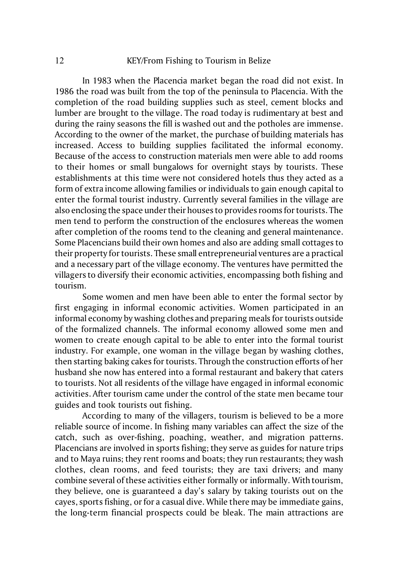## 12 KEY/From Fishing to Tourism in Belize

In 1983 when the Placencia market began the road did not exist. In 1986 the road was built from the top of the peninsula to Placencia. With the completion of the road building supplies such as steel, cement blocks and lumber are brought to the village. The road today is rudimentary at best and during the rainy seasons the fill is washed out and the potholes are immense. According to the owner of the market, the purchase of building materials has increased. Access to building supplies facilitated the informal economy. Because of the access to construction materials men were able to add rooms to their homes or small bungalows for overnight stays by tourists. These establishments at this time were not considered hotels thus they acted as a form of extra income allowing families or individuals to gain enough capital to enter the formal tourist industry. Currently several families in the village are also enclosing the space under their houses to provides rooms for tourists. The men tend to perform the construction of the enclosures whereas the women after completion of the rooms tend to the cleaning and general maintenance. Some Placencians build their own homes and also are adding small cottages to their property for tourists. These small entrepreneurial ventures are a practical and a necessary part of the village economy. The ventures have permitted the villagers to diversify their economic activities, encompassing both fishing and tourism.

Some women and men have been able to enter the formal sector by first engaging in informal economic activities. Women participated in an informal economy by washing clothes and preparing meals for tourists outside of the formalized channels. The informal economy allowed some men and women to create enough capital to be able to enter into the formal tourist industry. For example, one woman in the village began by washing clothes, then starting baking cakes for tourists. Through the construction efforts of her husband she now has entered into a formal restaurant and bakery that caters to tourists. Not all residents of the village have engaged in informal economic activities. After tourism came under the control of the state men became tour guides and took tourists out fishing.

According to many of the villagers, tourism is believed to be a more reliable source of income. In fishing many variables can affect the size of the catch, such as over-fishing, poaching, weather, and migration patterns. Placencians are involved in sports fishing; they serve as guides for nature trips and to Maya ruins; they rent rooms and boats; they run restaurants; they wash clothes, clean rooms, and feed tourists; they are taxi drivers; and many combine several of these activities either formally or informally. With tourism, they believe, one is guaranteed a day's salary by taking tourists out on the cayes, sports fishing, or for a casual dive. While there may be immediate gains, the long-term financial prospects could be bleak. The main attractions are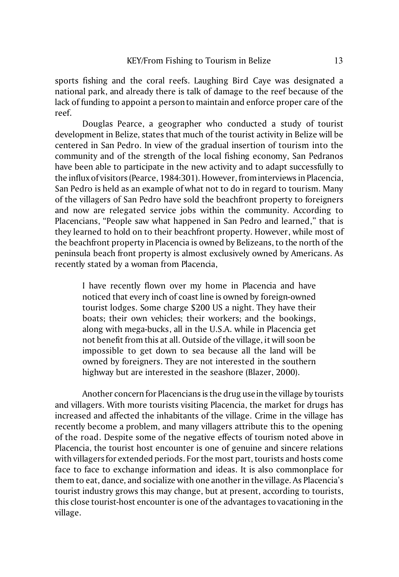sports fishing and the coral reefs. Laughing Bird Caye was designated a national park, and already there is talk of damage to the reef because of the lack of funding to appoint a person to maintain and enforce proper care of the reef.

Douglas Pearce, a geographer who conducted a study of tourist development in Belize, states that much of the tourist activity in Belize will be centered in San Pedro. In view of the gradual insertion of tourism into the community and of the strength of the local fishing economy, San Pedranos have been able to participate in the new activity and to adapt successfully to the influx of visitors (Pearce, 1984:301). However, from interviews in Placencia, San Pedro is held as an example of what not to do in regard to tourism. Many of the villagers of San Pedro have sold the beachfront property to foreigners and now are relegated service jobs within the community. According to Placencians, "People saw what happened in San Pedro and learned," that is they learned to hold on to their beachfront property. However, while most of the beachfront property in Placencia is owned by Belizeans, to the north of the peninsula beach front property is almost exclusively owned by Americans. As recently stated by a woman from Placencia,

I have recently flown over my home in Placencia and have noticed that every inch of coast line is owned by foreign-owned tourist lodges. Some charge \$200 US a night. They have their boats; their own vehicles; their workers; and the bookings, along with mega-bucks, all in the U.S.A. while in Placencia get not benefit from this at all. Outside of the village, it will soon be impossible to get down to sea because all the land will be owned by foreigners. They are not interested in the southern highway but are interested in the seashore (Blazer, 2000).

Another concern for Placencians is the drug use in the village by tourists and villagers. With more tourists visiting Placencia, the market for drugs has increased and affected the inhabitants of the village. Crime in the village has recently become a problem, and many villagers attribute this to the opening of the road. Despite some of the negative effects of tourism noted above in Placencia, the tourist host encounter is one of genuine and sincere relations with villagers for extended periods. For the most part, tourists and hosts come face to face to exchange information and ideas. It is also commonplace for them to eat, dance, and socialize with one another in the village. As Placencia's tourist industry grows this may change, but at present, according to tourists, this close tourist-host encounter is one of the advantages to vacationing in the village.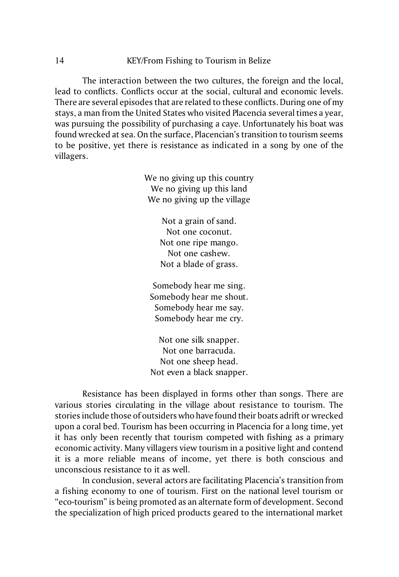## 14 KEY/From Fishing to Tourism in Belize

The interaction between the two cultures, the foreign and the local, lead to conflicts. Conflicts occur at the social, cultural and economic levels. There are several episodes that are related to these conflicts. During one of my stays, a man from the United States who visited Placencia several times a year, was pursuing the possibility of purchasing a caye. Unfortunately his boat was found wrecked at sea. On the surface, Placencian's transition to tourism seems to be positive, yet there is resistance as indicated in a song by one of the villagers.

> We no giving up this country We no giving up this land We no giving up the village

> > Not a grain of sand. Not one coconut. Not one ripe mango. Not one cashew. Not a blade of grass.

Somebody hear me sing. Somebody hear me shout. Somebody hear me say. Somebody hear me cry.

Not one silk snapper. Not one barracuda. Not one sheep head. Not even a black snapper.

Resistance has been displayed in forms other than songs. There are various stories circulating in the village about resistance to tourism. The stories include those of outsiders who have found their boats adrift or wrecked upon a coral bed. Tourism has been occurring in Placencia for a long time, yet it has only been recently that tourism competed with fishing as a primary economic activity. Many villagers view tourism in a positive light and contend it is a more reliable means of income, yet there is both conscious and unconscious resistance to it as well.

In conclusion, several actors are facilitating Placencia's transition from a fishing economy to one of tourism. First on the national level tourism or "eco-tourism" is being promoted as an alternate form of development. Second the specialization of high priced products geared to the international market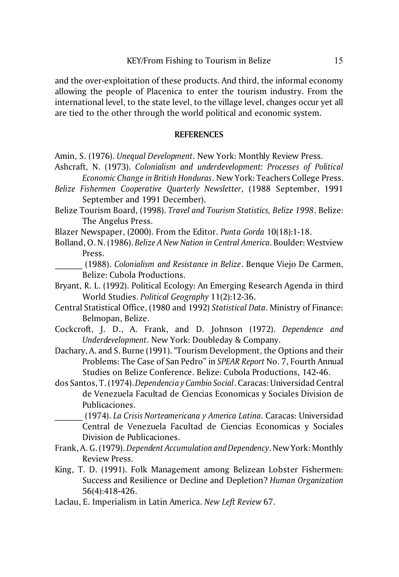and the over-exploitation of these products. And third, the informal economy allowing the people of Placenica to enter the tourism industry. From the international level, to the state level, to the village level, changes occur yet all are tied to the other through the world political and economic system.

# **REFERENCES**

- Amin, S. (1976). *Unequal Development*. New York: Monthly Review Press.
- Ashcraft, N. (1973). *Colonialism and underdevelopment: Processes of Political Economic Change in British Honduras*. New York: Teachers College Press.
- *Belize Fishermen Cooperative Quarterly Newsletter*, (1988 September, 1991 September and 1991 December).
- Belize Tourism Board, (1998). *Travel and Tourism Statistics, Belize 1998*. Belize: The Angelus Press.
- Blazer Newspaper, (2000). From the Editor. *Punta Gorda* 10(18):1-18.
- Bolland, O. N. (1986). *Belize A New Nation in Central America*. Boulder: Westview Press.
- \_\_\_\_\_\_ (1988). *Colonialism and Resistance in Belize*. Benque Viejo De Carmen, Belize: Cubola Productions.
- Bryant, R. L. (1992). Political Ecology: An Emerging Research Agenda in third World Studies. *Political Geography* 11(2):12-36.
- Central Statistical Office, (1980 and 1992) *Statistical Data*. Ministry of Finance: Belmopan, Belize.
- Cockcroft, J. D., A. Frank, and D. Johnson (1972). *Dependence and Underdevelopment*. New York: Doubleday & Company.
- Dachary, A. and S. Burne (1991). "Tourism Development, the Options and their Problems: The Case of San Pedro" in *SPEAR Report* No. 7, Fourth Annual Studies on Belize Conference. Belize: Cubola Productions, 142-46.
- dos Santos, T. (1974). *Dependencia y Cambio Social*. Caracas: Universidad Central de Venezuela Facultad de Ciencias Economicas y Sociales Division de Publicaciones.
	- \_\_\_\_\_\_ (1974). *La Crisis Norteamericana y America Latina*. Caracas: Universidad Central de Venezuela Facultad de Ciencias Economicas y Sociales Division de Publicaciones.
- Frank, A. G. (1979). *Dependent Accumulation and Dependency*. New York: Monthly Review Press.
- King, T. D. (1991). Folk Management among Belizean Lobster Fishermen: Success and Resilience or Decline and Depletion? *Human Organization* 56(4):418-426.
- Laclau, E. Imperialism in Latin America. *New Left Review* 67.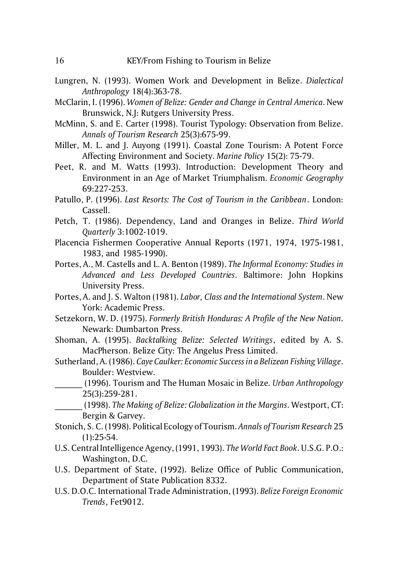- Lungren, N. (1993). Women Work and Development in Belize. *Dialectical Anthropology* 18(4):363-78.
- McClarin, I. (1996). *Women of Belize: Gender and Change in Central America*. New Brunswick, N.J: Rutgers University Press.
- McMinn, S. and E. Carter (1998). Tourist Typology: Observation from Belize. *Annals of Tourism Research* 25(3):675-99.
- Miller, M. L. and J. Auyong (1991). Coastal Zone Tourism: A Potent Force Affecting Environment and Society. *Marine Policy* 15(2): 75-79.
- Peet, R. and M. Watts (1993). Introduction: Development Theory and Environment in an Age of Market Triumphalism. *Economic Geography* 69:227-253.
- Patullo, P. (1996). *Last Resorts: The Cost of Tourism in the Caribbean*. London: Cassell.
- Petch, T. (1986). Dependency, Land and Oranges in Belize. *Third World Quarterly* 3:1002-1019.
- Placencia Fishermen Cooperative Annual Reports (1971, 1974, 1975-1981, 1983, and 1985-1990).
- Portes, A., M. Castells and L. A. Benton (1989). *The Informal Economy: Studies in Advanced and Less Developed Countries*. Baltimore: John Hopkins University Press.
- Portes, A. and J. S. Walton (1981). *Labor, Class and the International System*. New York: Academic Press.
- Setzekorn, W. D. (1975). *Formerly British Honduras: A Profile of the New Nation*. Newark: Dumbarton Press.
- Shoman, A. (1995). *Backtalking Belize: Selected Writings*, edited by A. S. MacPherson. Belize City: The Angelus Press Limited.
- Sutherland, A. (1986). *Caye Caulker: Economic Success in a Belizean Fishing Village*. Boulder: Westview.
	- \_\_\_\_\_\_ (1996). Tourism and The Human Mosaic in Belize. *Urban Anthropology* 25(3):259-281.
		- \_\_\_\_\_\_ (1998). *The Making of Belize: Globalization in the Margins*. Westport, CT: Bergin & Garvey.
- Stonich, S. C. (1998). Political Ecology of Tourism. *Annals of Tourism Research* 25  $(1):25-54.$
- U.S. Central Intelligence Agency, (1991, 1993). *The World Fact Book*. U.S.G. P.O.: Washington, D.C.
- U.S. Department of State, (1992). Belize Office of Public Communication, Department of State Publication 8332.
- U.S. D.O.C. International Trade Administration, (1993). *Belize Foreign Economic Trends*, Fet9012.